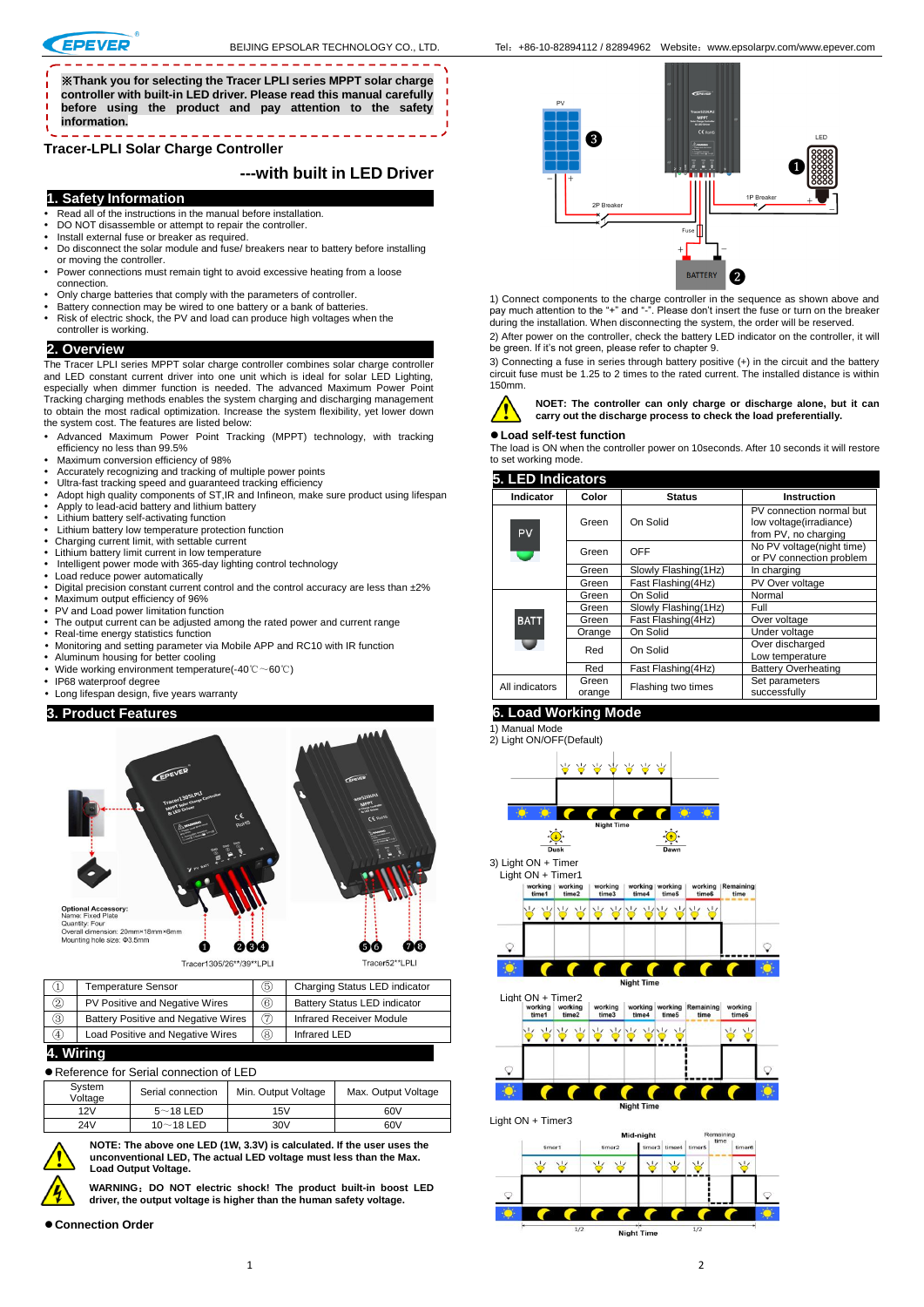\_\_\_\_\_\_\_\_\_\_\_\_\_\_\_\_\_\_\_\_\_\_\_\_\_\_\_\_\_\_\_\_\_\_\_\_\_ ※**Thank you for selecting the Tracer LPLI series MPPT solar charge controller with built-in LED driver. Please read this manual carefully before using the product and pay attention to the safety information.**

**Tracer-LPLI Solar Charge Controller**

### **---with built in LED Driver**

# **1. Safety Information**

- Read all of the instructions in the manual before installation.
- DO NOT disassemble or attempt to repair the controller.
- Install external fuse or breaker as required.
- Do disconnect the solar module and fuse/ breakers near to battery before installing or moving the controller.
- Power connections must remain tight to avoid excessive heating from a loose connection.
- Only charge batteries that comply with the parameters of controller.
- Battery connection may be wired to one battery or a bank of batteries. Risk of electric shock, the PV and load can produce high voltages when the
- controller is working.

### **2. Overview**

The Tracer LPLI series MPPT solar charge controller combines solar charge controller and LED constant current driver into one unit which is ideal for solar LED Lighting, especially when dimmer function is needed. The advanced Maximum Power Point Tracking charging methods enables the system charging and discharging management to obtain the most radical optimization. Increase the system flexibility, yet lower down the system cost. The features are listed below:

- Advanced Maximum Power Point Tracking (MPPT) technology, with tracking efficiency no less than 99.5%
- Maximum conversion efficiency of 98%
- Accurately recognizing and tracking of multiple power points
- Ultra-fast tracking speed and guaranteed tracking efficiency
- Adopt high quality components of ST,IR and Infineon, make sure product using lifespan Apply to lead-acid battery and lithium battery
- Lithium battery self-activating function
- 
- Lithium battery low temperature protection function Charging current limit, with settable current
- Lithium battery limit current in low temperature
- Intelligent power mode with 365-day lighting control technology
- Load reduce power automatically
- Digital precision constant current control and the control accuracy are less than  $\pm 2\%$ Maximum output efficiency of 96% PV and Load power limitation function
- 
- The output current can be adjusted among the rated power and current range
- Real-time energy statistics function Monitoring and setting parameter via Mobile APP and RC10 with IR function
- Aluminum housing for better cooling
- Wide working environment temperature(-40℃~60℃)
- IP68 waterproof degree
- Long lifespan design, five years warranty

### **3. Product Features**



|               | <b>Temperature Sensor</b>                  | 6   | Charging Status LED indicator       |
|---------------|--------------------------------------------|-----|-------------------------------------|
| $\circled{2}$ | PV Positive and Negative Wires             | (6) | <b>Battery Status LED indicator</b> |
| (3)           | <b>Battery Positive and Negative Wires</b> | (7) | <b>Infrared Receiver Module</b>     |
| ④             | Load Positive and Negative Wires           | (8) | Infrared LED                        |

#### **4. Wiring**

Reference for Serial connection of LED

| System<br>Voltage | Serial connection | Min. Output Voltage | Max. Output Voltage |
|-------------------|-------------------|---------------------|---------------------|
| 12V               | $5$ $\sim$ 18 LED | 15V                 | 60V                 |
| 24V               | $10$ ~ 18 LED     | 30 <sub>V</sub>     | 60V                 |

**NOTE: The above one LED (1W, 3.3V) is calculated. If the user uses the unconventional LED, The actual LED voltage must less than the Max. Load Output Voltage.**

**WARNING**:**DO NOT electric shock! The product built-in boost LED driver, the output voltage is higher than the human safety voltage.** 



1) Connect components to the charge controller in the sequence as shown above and pay much attention to the "+" and "-". Please don't insert the fuse or turn on the breaker during the installation. When disconnecting the system, the order will be reserved. 2) After power on the controller, check the battery LED indicator on the controller, it will be green. If it's not green, please refer to chapter 9.

3) Connecting a fuse in series through battery positive (+) in the circuit and the battery circuit fuse must be 1.25 to 2 times to the rated current. The installed distance is within 150mm.



**NOET: The controller can only charge or discharge alone, but it can carry out the discharge process to check the load preferentially.**

#### **Load self-test function**

The load is ON when the controller power on 10seconds. After 10 seconds it will restore to set working mode.

| Instruction<br>Indicator<br>Color<br><b>Status</b><br>PV connection normal but<br>On Solid<br>low voltage(irradiance)<br>Green<br>PV<br>from PV, no charging<br>No PV voltage(night time)<br>OFF<br>Green<br>or PV connection problem<br>Slowly Flashing(1Hz)<br>In charging<br>Green<br>Fast Flashing(4Hz)<br>PV Over voltage<br>Green<br>On Solid<br>Normal<br>Green<br>Slowly Flashing(1Hz)<br>Full<br>Green<br>Fast Flashing(4Hz)<br><b>BATT</b><br>Green<br>Over voltage<br>On Solid<br>Under voltage<br>Orange<br>Over discharged<br>On Solid<br>Red<br>Low temperature<br><b>Battery Overheating</b><br>Fast Flashing(4Hz)<br>Red<br>Set parameters<br>Green<br>All indicators<br>Flashing two times<br>successfully<br>orange | 5. LED Indicators |  |  |  |  |  |  |
|---------------------------------------------------------------------------------------------------------------------------------------------------------------------------------------------------------------------------------------------------------------------------------------------------------------------------------------------------------------------------------------------------------------------------------------------------------------------------------------------------------------------------------------------------------------------------------------------------------------------------------------------------------------------------------------------------------------------------------------|-------------------|--|--|--|--|--|--|
|                                                                                                                                                                                                                                                                                                                                                                                                                                                                                                                                                                                                                                                                                                                                       |                   |  |  |  |  |  |  |
|                                                                                                                                                                                                                                                                                                                                                                                                                                                                                                                                                                                                                                                                                                                                       |                   |  |  |  |  |  |  |
|                                                                                                                                                                                                                                                                                                                                                                                                                                                                                                                                                                                                                                                                                                                                       |                   |  |  |  |  |  |  |
|                                                                                                                                                                                                                                                                                                                                                                                                                                                                                                                                                                                                                                                                                                                                       |                   |  |  |  |  |  |  |
|                                                                                                                                                                                                                                                                                                                                                                                                                                                                                                                                                                                                                                                                                                                                       |                   |  |  |  |  |  |  |
|                                                                                                                                                                                                                                                                                                                                                                                                                                                                                                                                                                                                                                                                                                                                       |                   |  |  |  |  |  |  |
|                                                                                                                                                                                                                                                                                                                                                                                                                                                                                                                                                                                                                                                                                                                                       |                   |  |  |  |  |  |  |
|                                                                                                                                                                                                                                                                                                                                                                                                                                                                                                                                                                                                                                                                                                                                       |                   |  |  |  |  |  |  |
|                                                                                                                                                                                                                                                                                                                                                                                                                                                                                                                                                                                                                                                                                                                                       |                   |  |  |  |  |  |  |
|                                                                                                                                                                                                                                                                                                                                                                                                                                                                                                                                                                                                                                                                                                                                       |                   |  |  |  |  |  |  |
|                                                                                                                                                                                                                                                                                                                                                                                                                                                                                                                                                                                                                                                                                                                                       |                   |  |  |  |  |  |  |
|                                                                                                                                                                                                                                                                                                                                                                                                                                                                                                                                                                                                                                                                                                                                       |                   |  |  |  |  |  |  |

# **6. Load Working Mode**





 $\odot$ 

3) Light ON + Timer Light ON + Timer1







**Connection Order**